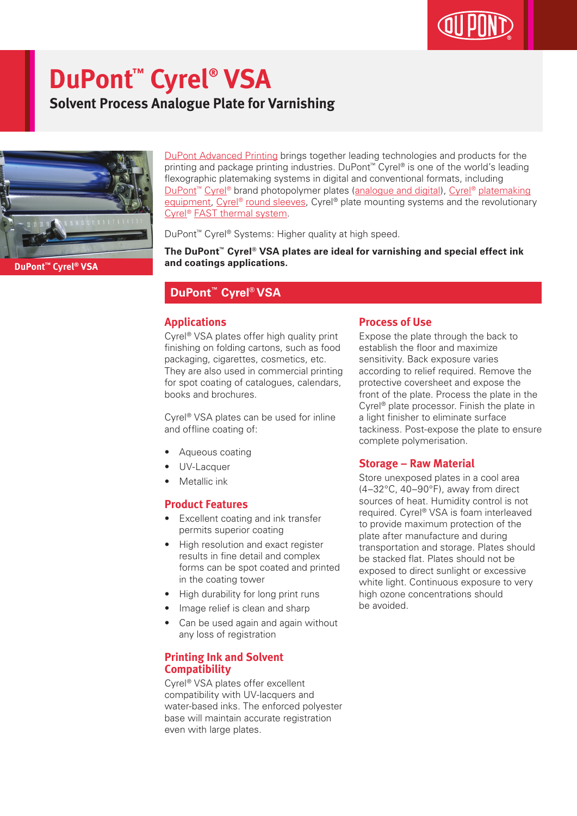# **DuPont™ Cyrel® VSA**

**Solvent Process Analogue Plate for Varnishing**



DuPont Advanced Printing brings together leading technologies and products for the printing and package printing industries. DuPont™ Cyrel® is one of the world's leading flexographic platemaking systems in digital and conventional formats, including DuPont<sup>™</sup> Cyrel<sup>®</sup> brand photopolymer plates (analogue and digital), Cyrel<sup>®</sup> platemaking equipment, Cyrel® round sleeves, Cyrel® plate mounting systems and the revolutionary Cyrel® FAST thermal system.

DuPont™ Cyrel® Systems: Higher quality at high speed.

**The DuPont™ Cyrel® VSA plates are ideal for varnishing and special effect ink and coatings applications.**

### **DuPont™ Cyrel® VSA**

#### **Applications**

Cyrel<sup>®</sup> VSA plates offer high quality print finishing on folding cartons, such as food packaging, cigarettes, cosmetics, etc. They are also used in commercial printing for spot coating of catalogues, calendars, books and brochures.

Cyrel® VSA plates can be used for inline and offline coating of:

- Aqueous coating
- UV-Lacquer
- Metallic ink

#### **Product Features**

- Excellent coating and ink transfer permits superior coating
- High resolution and exact register results in fine detail and complex forms can be spot coated and printed in the coating tower
- High durability for long print runs
- Image relief is clean and sharp
- Can be used again and again without any loss of registration

#### **Printing Ink and Solvent Compatibility**

Cyrel® VSA plates offer excellent compatibility with UV-lacquers and water-based inks. The enforced polyester base will maintain accurate registration even with large plates.

#### **Process of Use**

Expose the plate through the back to establish the floor and maximize sensitivity. Back exposure varies according to relief required. Remove the protective coversheet and expose the front of the plate. Process the plate in the Cyrel® plate processor. Finish the plate in a light finisher to eliminate surface tackiness. Post-expose the plate to ensure complete polymerisation.

#### **Storage – Raw Material**

Store unexposed plates in a cool area (4–32°C, 40–90°F), away from direct sources of heat. Humidity control is not required. Cyrel® VSA is foam interleaved to provide maximum protection of the plate after manufacture and during transportation and storage. Plates should be stacked flat. Plates should not be exposed to direct sunlight or excessive white light. Continuous exposure to very high ozone concentrations should be avoided.